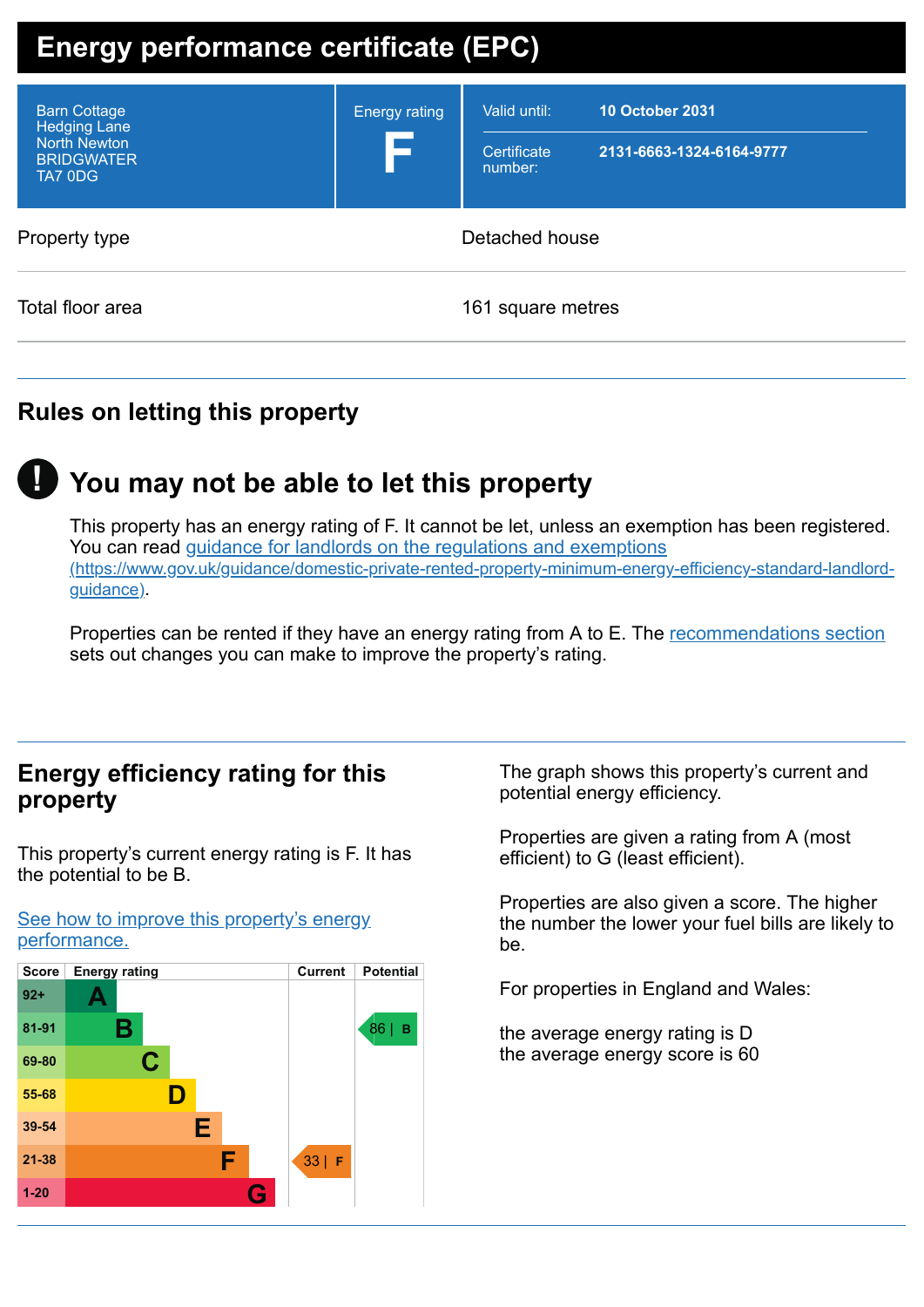# **Energy performance certificate (EPC)**

| Property type    | Detached house |                   |  |
|------------------|----------------|-------------------|--|
| Total floor area |                | 161 square metres |  |

# **Rules on letting this property**

# **You may not be able to let this property !**

This property has an energy rating of F. It cannot be let, unless an exemption has been registered. You can read guidance for landlords on the regulations and exemptions [\(https://www.gov.uk/guidance/domestic-private-rented-property-minimum-energy-efficiency-standard-landlord](https://www.gov.uk/guidance/domestic-private-rented-property-minimum-energy-efficiency-standard-landlord-guidance)guidance).

Properties can be rented if they have an energy rating from A to E. The [recommendations](#page-2-0) section sets out changes you can make to improve the property's rating.

## **Energy efficiency rating for this property**

This property's current energy rating is F. It has the potential to be B.

See how to improve this property's energy [performance.](#page-2-0)



The graph shows this property's current and potential energy efficiency.

Properties are given a rating from A (most efficient) to G (least efficient).

Properties are also given a score. The higher the number the lower your fuel bills are likely to be.

For properties in England and Wales:

the average energy rating is D the average energy score is 60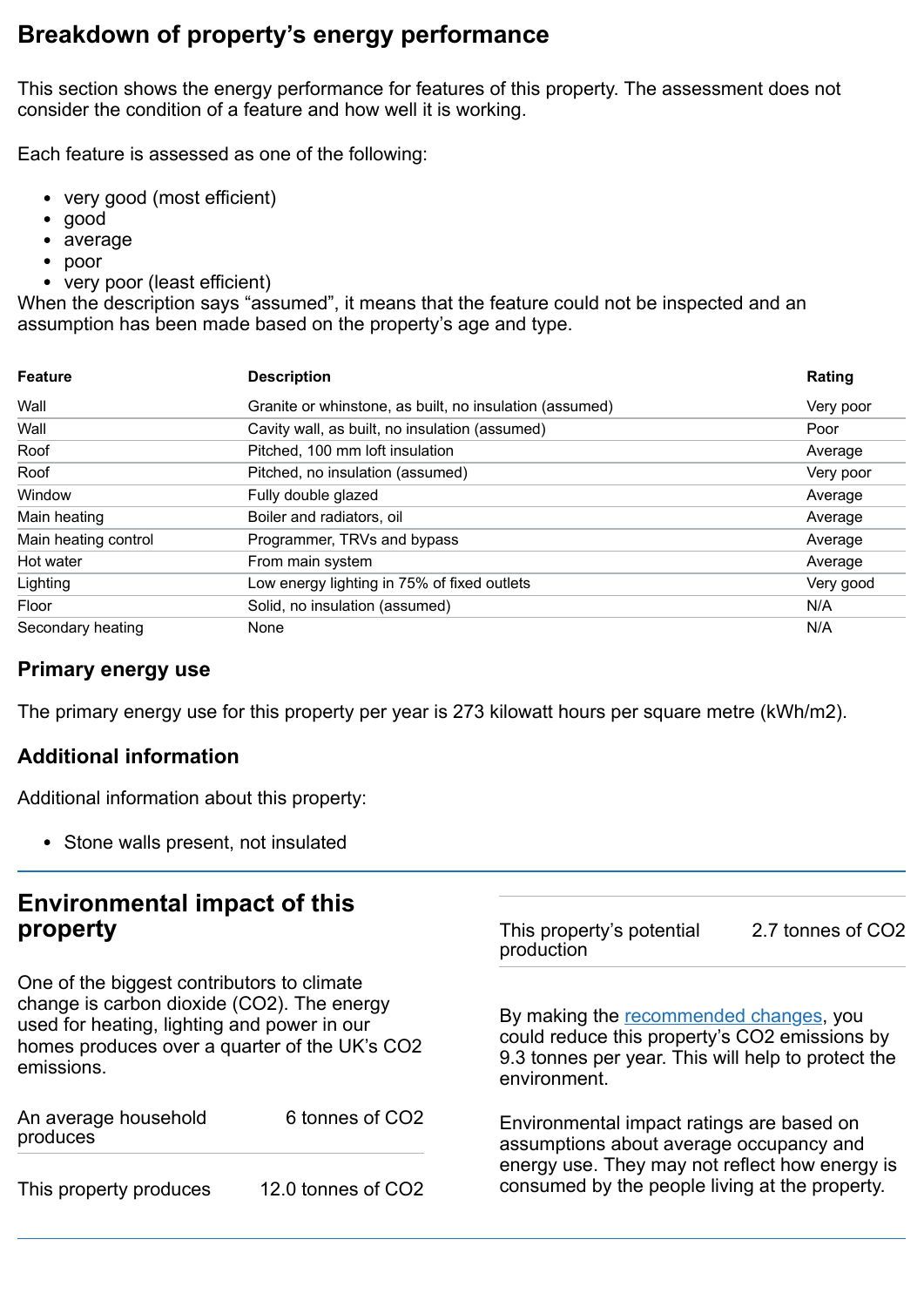# **Breakdown of property's energy performance**

This section shows the energy performance for features of this property. The assessment does not consider the condition of a feature and how well it is working.

Each feature is assessed as one of the following:

- very good (most efficient)
- good
- average
- poor
- very poor (least efficient)

When the description says "assumed", it means that the feature could not be inspected and an assumption has been made based on the property's age and type.

| <b>Feature</b>       | <b>Description</b>                                      | Rating    |
|----------------------|---------------------------------------------------------|-----------|
| Wall                 | Granite or whinstone, as built, no insulation (assumed) | Very poor |
| Wall                 | Cavity wall, as built, no insulation (assumed)          | Poor      |
| Roof                 | Pitched, 100 mm loft insulation                         | Average   |
| Roof                 | Pitched, no insulation (assumed)                        | Very poor |
| Window               | Fully double glazed                                     | Average   |
| Main heating         | Boiler and radiators, oil                               | Average   |
| Main heating control | Programmer, TRVs and bypass                             | Average   |
| Hot water            | From main system                                        | Average   |
| Lighting             | Low energy lighting in 75% of fixed outlets             | Very good |
| Floor                | Solid, no insulation (assumed)                          | N/A       |
| Secondary heating    | None                                                    | N/A       |

#### **Primary energy use**

The primary energy use for this property per year is 273 kilowatt hours per square metre (kWh/m2).

#### **Additional information**

Additional information about this property:

• Stone walls present, not insulated

## **Environmental impact of this property**

One of the biggest contributors to climate change is carbon dioxide (CO2). The energy used for heating, lighting and power in our homes produces over a quarter of the UK's CO2 emissions.

| An average household<br>produces | 6 tonnes of CO2    |
|----------------------------------|--------------------|
| This property produces           | 12.0 tonnes of CO2 |

This property's potential production

2.7 tonnes of CO2

By making the [recommended](#page-2-0) changes, you could reduce this property's CO2 emissions by 9.3 tonnes per year. This will help to protect the environment.

Environmental impact ratings are based on assumptions about average occupancy and energy use. They may not reflect how energy is consumed by the people living at the property.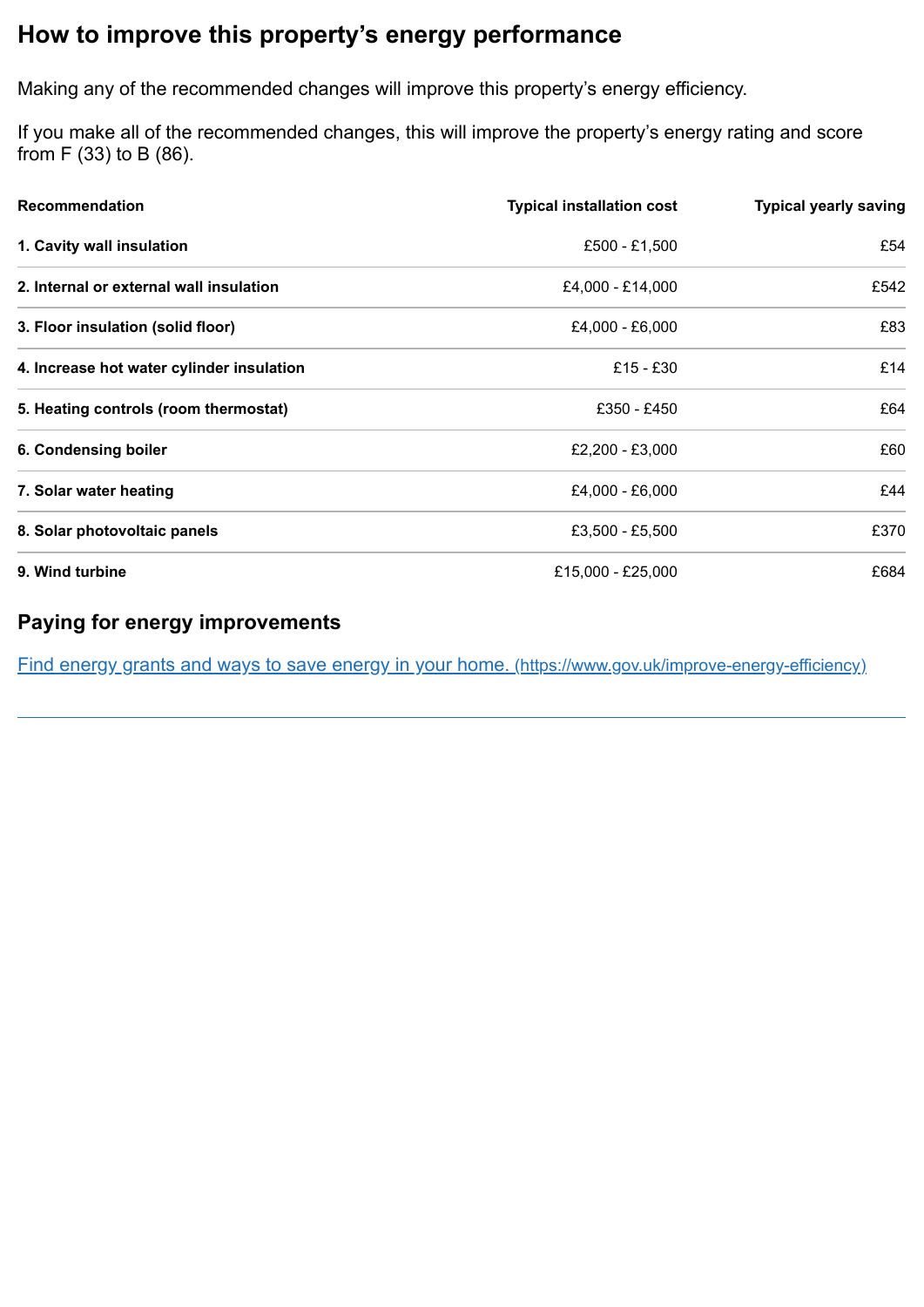# <span id="page-2-0"></span>**How to improve this property's energy performance**

Making any of the recommended changes will improve this property's energy efficiency.

If you make all of the recommended changes, this will improve the property's energy rating and score from F (33) to B (86).

| <b>Recommendation</b>                     | <b>Typical installation cost</b> | <b>Typical yearly saving</b> |
|-------------------------------------------|----------------------------------|------------------------------|
| 1. Cavity wall insulation                 | £500 - £1,500                    | £54                          |
| 2. Internal or external wall insulation   | £4,000 - £14,000                 | £542                         |
| 3. Floor insulation (solid floor)         | £4,000 - £6,000                  | £83                          |
| 4. Increase hot water cylinder insulation | £15 - £30                        | £14                          |
| 5. Heating controls (room thermostat)     | £350 - £450                      | £64                          |
| 6. Condensing boiler                      | £2,200 - £3,000                  | £60                          |
| 7. Solar water heating                    | £4,000 - £6,000                  | £44                          |
| 8. Solar photovoltaic panels              | £3,500 - £5,500                  | £370                         |
| 9. Wind turbine                           | £15,000 - £25,000                | £684                         |

#### **Paying for energy improvements**

Find energy grants and ways to save energy in your home. [\(https://www.gov.uk/improve-energy-efficiency\)](https://www.gov.uk/improve-energy-efficiency)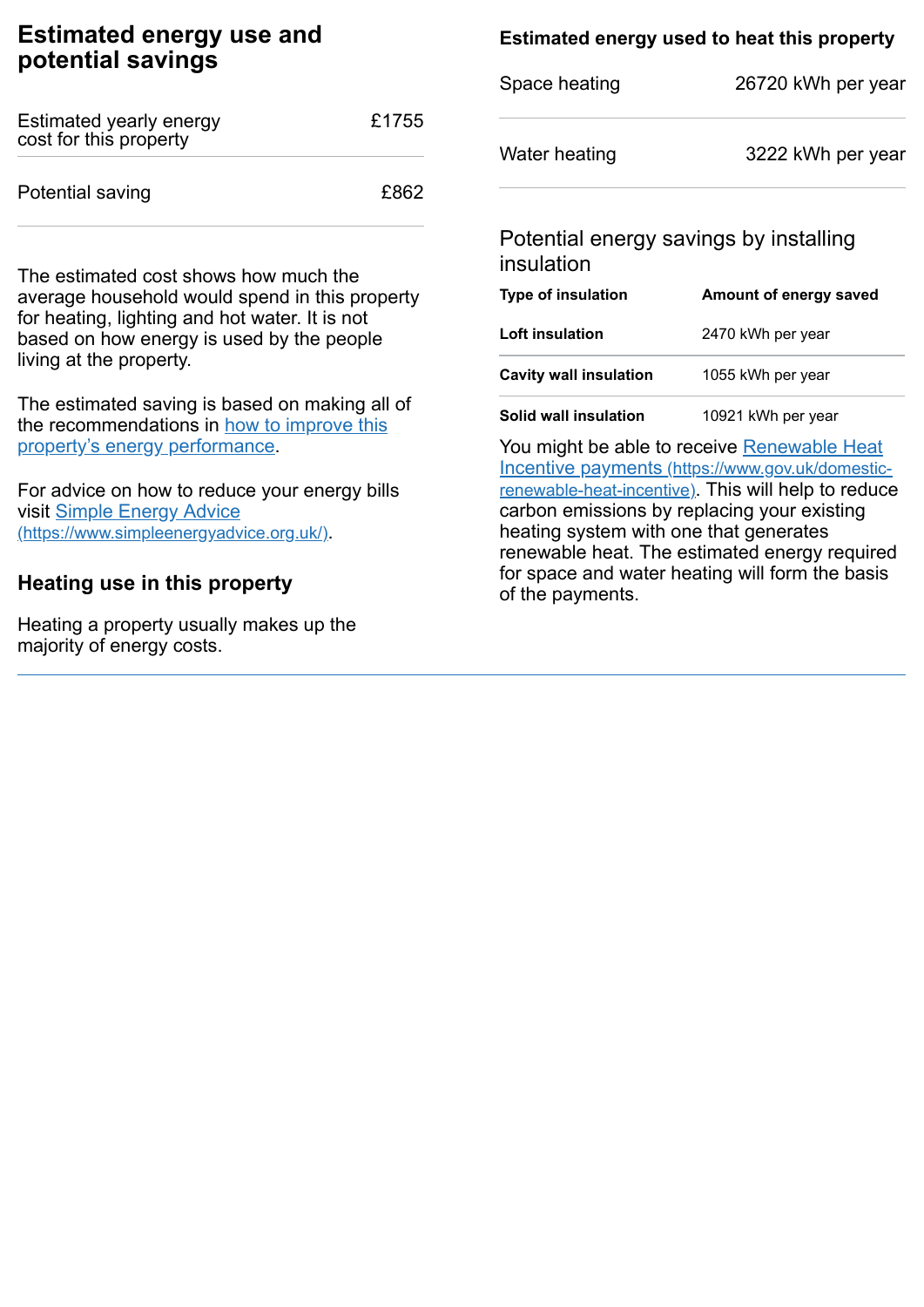## **Estimated energy use and potential savings**

| Estimated yearly energy<br>cost for this property | £1755 |
|---------------------------------------------------|-------|
| Potential saving                                  | £862  |

The estimated cost shows how much the average household would spend in this property for heating, lighting and hot water. It is not based on how energy is used by the people living at the property.

The estimated saving is based on making all of the [recommendations](#page-2-0) in how to improve this property's energy performance.

For advice on how to reduce your energy bills visit Simple Energy Advice [\(https://www.simpleenergyadvice.org.uk/\)](https://www.simpleenergyadvice.org.uk/).

## **Heating use in this property**

Heating a property usually makes up the majority of energy costs.

## **Estimated energy used to heat this property**

| 26720 kWh per year |
|--------------------|
| 3222 kWh per year  |
|                    |

#### Potential energy savings by installing insulation

| <b>Type of insulation</b>     | Amount of energy saved |
|-------------------------------|------------------------|
| Loft insulation               | 2470 kWh per year      |
| <b>Cavity wall insulation</b> | 1055 kWh per year      |
| Solid wall insulation         | 10921 kWh per year     |

You might be able to receive Renewable Heat Incentive payments [\(https://www.gov.uk/domestic](https://www.gov.uk/domestic-renewable-heat-incentive)renewable-heat-incentive). This will help to reduce carbon emissions by replacing your existing heating system with one that generates renewable heat. The estimated energy required for space and water heating will form the basis of the payments.